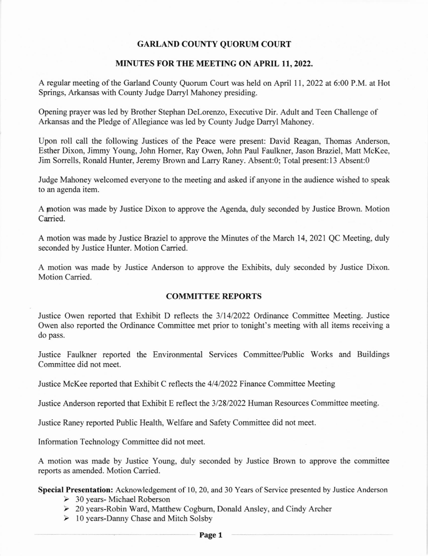# GARLAND COUNTY QUORUM COURT

### MINUTES FOR THE MEETING ON APRIL 11,2022.

A regular meeting of the Garland County Quorum Court was held on April 11,2022 at 6:00 P.M. at Hot Springs, Arkansas with County Judge Darryl Mahoney presiding.

Opening prayer was led by Brother Stephan Delorenzo, Executive Dir. Adult and Teen Challenge of Arkansas and the Pledge of Allegiance was led by County Judge Darryl Mahoney.

Upon roll call the following Justices of the Peace were present: David Reagan, Thomas Anderson, Esther Dixon, Jimmy Young, John Homer, Ray Owen, John Paul Faulkner, Jason Braziel, Matt McKee, Jim Sorrells, Ronald Hunter, Jeremy Brown and Larry Raney. Absent:0; Total present:13 Absent:0

Judge Mahoney welcomed everyone to the meeting and asked if anyone in the audience wished to speak to an agenda item.

A motion was made by Justice Dixon to approve the Agenda, duly seconded by Justice Brown. Motion Carried.

A motion was made by Justice Braziel to approve the Minutes of the March 14,2021 QC Meeting, duly seconded by Justice Hunter. Motion Carried.

A motion was made by Justice Anderson to approve the Exhibits, duly seconded by Justice Dixon. Motion Carried.

### COMMITTEE REPORTS

Justice Owen reported that Exhibit D reflects the 311412022 Ordinance Committee Meeting. Justice Owen also reported the Ordinance Committee met prior to tonight's meeting with all items receiving a do pass.

Justice Faulkner reported the Environmental Services Committee/Public Works and Buildings Committee did not meet.

Justice McKee reported that Exhibit C reflects the 4/4/2022 Finance Committee Meeting

Justice Anderson reported that Exhibit E reflect the 3128/2022 Human Resources Committee meeting.

Justice Raney reported Public Health. Welfare and Safety Committee did not meet.

Information Technology Committee did not meet.

A motion was made by Justice Young, duly seconded by Justice Brown to approve the committee reports as amended. Motion Carried.

Special Presentation: Acknowledgement of 10,20, and 30 Years of Service presented by Justice Anderson

- $\geq$  30 years- Michael Roberson
- ) 20 years-Robin Ward, Matthew Cogbum, Donald Ansley, and Cindy Archer
- $\triangleright$  10 years-Danny Chase and Mitch Solsby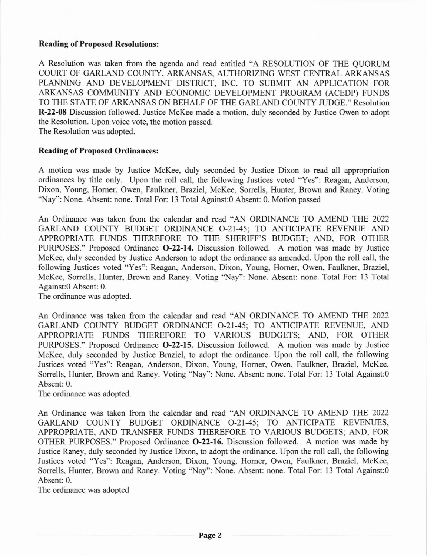### Reading of Proposed Resolutions:

A Resolution was taken fiom the agenda and read entitled "A RESOLUTION OF THE QUORUM COURT OF GARLAND COUNTY, ARKANSAS, AUTHORIZING WEST CENTRAL ARKANSAS PLANNING AND DEVELOPMENT DISTRICT, INC. TO SUBMIT AN APPLICATION FOR ARKANSAS COMMUNITY AND ECONOMIC DEVELOPMENT PROGRAM (ACEDP) FUNDS TO THE STATE OF ARKANSAS ON BEHALF OF THE GARLAND COUNTY JUDGE." Resolution R-22-08 Discussion followed. Justice McKee made a motion, duly seconded by Justice Owen to adopt the Resolution. Upon voice vote, the motion passed. The Resolution was adopted.

#### Reading of Proposed Ordinances:

A motion was made by Justice McKee, duly seconded by Justice Dixon to read all appropriation ordinances by title only. Upon the roll call, the following Justices voted "Yes": Reagan, Anderson, Dixon, Young, Homer, Owen, Faulkner, Braziel, McKee, Sorrells, Hunter, Brown and Raney. Voting 'Nay": None. Absent: none. Total For: l3 Total Against:0 Absent: 0. Motion passed

An Ordinance was taken from the calendar and read "AN ORDINANCE TO AMEND THE 2022 GARLAND COUNTY BUDGET ORDINANCE 0-21-45; TO ANTICIPATE REVENUE AND APPROPRIATE FUNDS THEREFORE TO THE SHERIFF'S BUDGET; AND, FOR OTHER PURPOSES." Proposed Ordinance 0-22-14. Discussion followed. A motion was made by Justice McKee. duly seconded by Justice Anderson to adopt the ordinance as amended. Upon the roll call, the following Justices voted "Yes": Reagan, Anderson, Dixon, Young, Homer, Owen, Faulkner, Braziel. McKee, Sorrells, Hunter, Brown and Raney. Voting 'Nay": None. Absent: none. Total For: 13 Total Against:O Absent: 0.

The ordinance was adopted.

An Ordinance was taken fiom the calendar and read "AN ORDINANCE TO AMEND THE 2022 GARLAND COUNTY BUDGET ORDINANCE O-21-45; TO ANTICIPATE REVENUE, AND APPROPRIATE FUNDS THEREFORE TO VARIOUS BUDGETS; AND, FOR OTHER PURPOSES." Proposed Ordinance O-22-lS. Discussion followed. A motion was made by Justice McKee, duly seconded by Justice Braziel, to adopt the ordinance. Upon the roll call, the following Justices voted "Yes": Reagan, Anderson, Dixon, Young, Homer, Owen, Faulkner, Braziel, McKee, Sorrells, Hunter, Brown and Raney. Voting "Nay": None. Absent: none. Total For: 13 Total Against:0 Absent: 0.

The ordinance was adopted.

An Ordinance was taken from the calendar and read "AN ORDINANCE TO AMEND THE 2022 GARLAND COUNTY BUDGET ORDINANCE 0-21-45: TO ANTICIPATE REVENUES, APPROPRIATE, AND TRANSFER FUNDS THEREFORE TO VARIOUS BUDGETS; AND, FOR OTHER PURPOSES." Proposed Ordinance 0-22-16. Discussion followed. A motion was made by Justice Raney, duly seconded by Justice Dixon, to adopt the ordinance. Upon the roll call, the following Justices voted "Yes": Reagan, Anderson, Dixon, Young, Homer, Owen, Faulkner, Braziel, McKee, Sorrells, Hunter, Brown and Raney. Voting "Nay": None. Absent: none. Total For: 13 Total Against:0 Absent: 0.

The ordinance was adopted